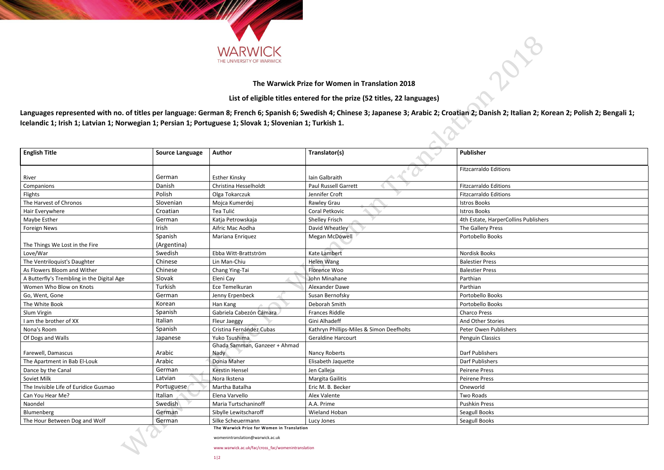**The Warwick Prize for Women in Translation**

womenintranslation@warwick.ac.uk

www.warwick.ac.uk/fac/cross\_fac/womenintranslation



| ons                  |
|----------------------|
| ons                  |
| ons                  |
|                      |
|                      |
| erCollins Publishers |
|                      |
|                      |
|                      |
|                      |
|                      |
|                      |
|                      |
|                      |
|                      |
|                      |
|                      |
| s<br>ishers          |
|                      |
|                      |
|                      |
|                      |
|                      |
|                      |
|                      |
|                      |
|                      |
|                      |
|                      |
|                      |



## **The Warwick Prize for Women in Translation 2018**

**List of eligible titles entered for the prize (52 titles, 22 languages)**

**Languages represented with no. of titles per language: German 8; French 6; Spanish 6; Swedish 4; Chinese 3; Japanese 3; Arabic 2; Croatian 2; Danish 2; Italian 2; Korean 2; Polish 2; Bengali 1; Icelandic 1; Irish 1; Latvian 1; Norwegian 1; Persian 1; Portuguese 1; Slovak 1; Slovenian 1; Turkish 1.** 

| <b>English Title</b>                       | <b>Source Language</b> | <b>Author</b>                                                                                                                                                                                                                                      | Translator(s)                            | <b>Publisher</b>                     |
|--------------------------------------------|------------------------|----------------------------------------------------------------------------------------------------------------------------------------------------------------------------------------------------------------------------------------------------|------------------------------------------|--------------------------------------|
|                                            | German                 |                                                                                                                                                                                                                                                    | Iain Galbraith                           | <b>Fitzcarraldo Editions</b>         |
| River                                      | Danish                 | <b>Esther Kinsky</b><br>Christina Hesselholdt                                                                                                                                                                                                      | Paul Russell Garrett                     | <b>Fitzcarraldo Editions</b>         |
| Companions                                 | Polish                 |                                                                                                                                                                                                                                                    | Jennifer Croft                           | <b>Fitzcarraldo Editions</b>         |
| Flights<br>The Harvest of Chronos          | Slovenian              | Olga Tokarczuk                                                                                                                                                                                                                                     |                                          |                                      |
|                                            | Croatian               | Mojca Kumerdej<br>Tea Tulić                                                                                                                                                                                                                        | Rawley Grau<br>Coral Petkovic            | <b>Istros Books</b>                  |
| Hair Everywhere                            |                        |                                                                                                                                                                                                                                                    |                                          | <b>Istros Books</b>                  |
| Maybe Esther                               | German                 | Katja Petrowskaja                                                                                                                                                                                                                                  | <b>Shelley Frisch</b>                    | 4th Estate, HarperCollins Publishers |
| <b>Foreign News</b>                        | Irish                  | Aifric Mac Aodha                                                                                                                                                                                                                                   | David Wheatley                           | The Gallery Press                    |
| The Things We Lost in the Fire             | Spanish<br>(Argentina) | Mariana Enriquez                                                                                                                                                                                                                                   | Megan McDowell                           | Portobello Books                     |
| Love/War                                   | Swedish                | Ebba Witt-Brattström                                                                                                                                                                                                                               | <b>Kate Lambert</b>                      | <b>Nordisk Books</b>                 |
| The Ventriloquist's Daughter               | Chinese                | Lin Man-Chiu                                                                                                                                                                                                                                       | <b>Helen Wang</b>                        | <b>Balestier Press</b>               |
| As Flowers Bloom and Wither                | Chinese                | Chang Ying-Tai                                                                                                                                                                                                                                     | Florence Woo                             | <b>Balestier Press</b>               |
| A Butterfly's Trembling in the Digital Age | Slovak                 | Eleni Cay                                                                                                                                                                                                                                          | John Minahane                            | Parthian                             |
| Women Who Blow on Knots                    | Turkish                | Ece Temelkuran                                                                                                                                                                                                                                     | Alexander Dawe                           | Parthian                             |
| Go, Went, Gone                             | German                 | Jenny Erpenbeck                                                                                                                                                                                                                                    | Susan Bernofsky                          | Portobello Books                     |
| The White Book                             | Korean                 | Han Kang                                                                                                                                                                                                                                           | Deborah Smith                            | Portobello Books                     |
| Slum Virgin                                | Spanish                | Gabriela Cabezón Cámara                                                                                                                                                                                                                            | <b>Frances Riddle</b>                    | <b>Charco Press</b>                  |
| am the brother of XX                       | Italian                | Fleur Jaeggy                                                                                                                                                                                                                                       | Gini Alhadeff                            | And Other Stories                    |
| Nona's Room                                | Spanish                | Cristina Fernández Cubas                                                                                                                                                                                                                           | Kathryn Phillips-Miles & Simon Deefholts | Peter Owen Publishers                |
| Of Dogs and Walls                          | Japanese               | Yuko Tsushima                                                                                                                                                                                                                                      | <b>Geraldine Harcourt</b>                | <b>Penguin Classics</b>              |
|                                            |                        | Ghada Samman, Ganzeer + Ahmad                                                                                                                                                                                                                      |                                          |                                      |
| Farewell, Damascus                         | Arabic                 | Nady                                                                                                                                                                                                                                               | <b>Nancy Roberts</b>                     | <b>Darf Publishers</b>               |
| The Apartment in Bab El-Louk               | Arabic                 | Donia Maher                                                                                                                                                                                                                                        | Elisabeth Jaquette                       | <b>Darf Publishers</b>               |
| Dance by the Canal                         | German                 | <b>Kerstin Hensel</b>                                                                                                                                                                                                                              | Jen Calleja                              | <b>Peirene Press</b>                 |
| Soviet Milk                                | Latvian                | Nora Ikstena                                                                                                                                                                                                                                       | Margita Gailitis                         | <b>Peirene Press</b>                 |
| The Invisible Life of Euridice Gusmao      | Portuguese             | Martha Batalha                                                                                                                                                                                                                                     | Eric M. B. Becker                        | Oneworld                             |
| Can You Hear Me?                           | Italian                | Elena Varvello                                                                                                                                                                                                                                     | Alex Valente                             | <b>Two Roads</b>                     |
| Naondel                                    | Swedish                | Maria Turtschaninoff                                                                                                                                                                                                                               | A.A. Prime                               | <b>Pushkin Press</b>                 |
| Blumenberg                                 | German                 | Sibylle Lewitscharoff                                                                                                                                                                                                                              | Wieland Hoban                            | Seagull Books                        |
| The Hour Between Dog and Wolf              | German                 | Silke Scheuermann<br>which is a set of the state of the state of the state of the state of the state of the state of the state of the state of the state of the state of the state of the state of the state of the state of the state of the stat | Lucy Jones                               | Seagull Books                        |